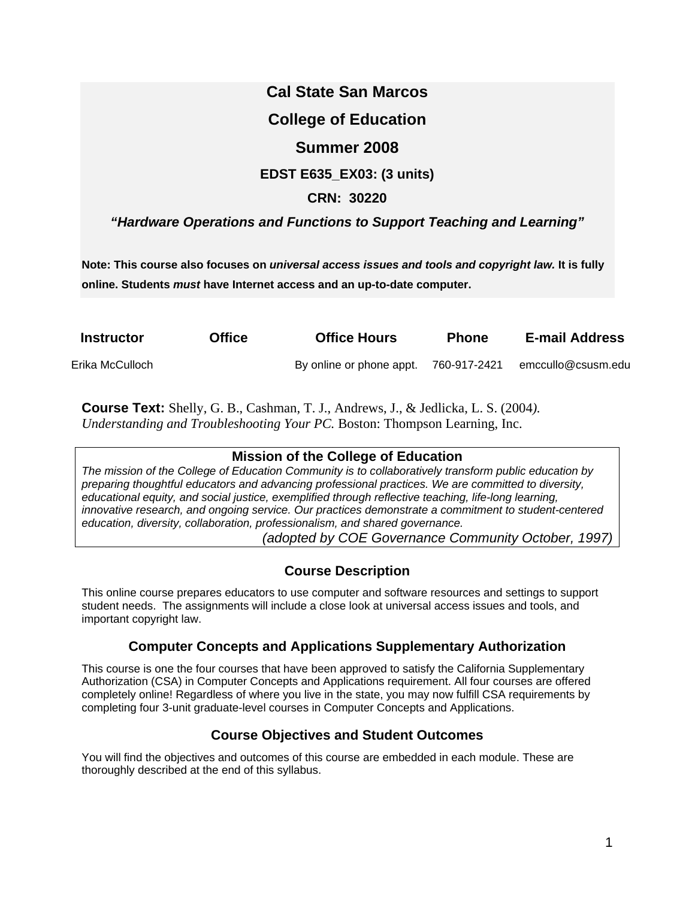# **Cal State San Marcos College of Education Summer 2008 EDST E635\_EX03: (3 units) CRN: 30220**

# *"Hardware Operations and Functions to Support Teaching and Learning"*

**Note: This course also focuses on** *universal access issues and tools and copyright law.* **It is fully online. Students** *must* **have Internet access and an up-to-date computer.** 

| <b>Instructor</b> | <b>Office</b> | <b>Office Hours</b>      | <b>Phone</b> | <b>E-mail Address</b> |
|-------------------|---------------|--------------------------|--------------|-----------------------|
| Erika McCulloch   |               | By online or phone appt. | 760-917-2421 | emccullo@csusm.edu    |

**Course Text:** Shelly, G. B., Cashman, T. J., Andrews, J., & Jedlicka, L. S. (2004*). Understanding and Troubleshooting Your PC.* Boston: Thompson Learning, Inc.

# **Mission of the College of Education**

*The mission of the College of Education Community is to collaboratively transform public education by preparing thoughtful educators and advancing professional practices. We are committed to diversity, educational equity, and social justice, exemplified through reflective teaching, life-long learning, innovative research, and ongoing service. Our practices demonstrate a commitment to student-centered education, diversity, collaboration, professionalism, and shared governance.* 

*(adopted by COE Governance Community October, 1997)* 

# **Course Description**

This online course prepares educators to use computer and software resources and settings to support student needs. The assignments will include a close look at universal access issues and tools, and important copyright law.

# **Computer Concepts and Applications Supplementary Authorization**

This course is one the four courses that have been approved to satisfy the California Supplementary Authorization (CSA) in Computer Concepts and Applications requirement. All four courses are offered completely online! Regardless of where you live in the state, you may now fulfill CSA requirements by completing four 3-unit graduate-level courses in Computer Concepts and Applications.

# **Course Objectives and Student Outcomes**

You will find the objectives and outcomes of this course are embedded in each module. These are thoroughly described at the end of this syllabus.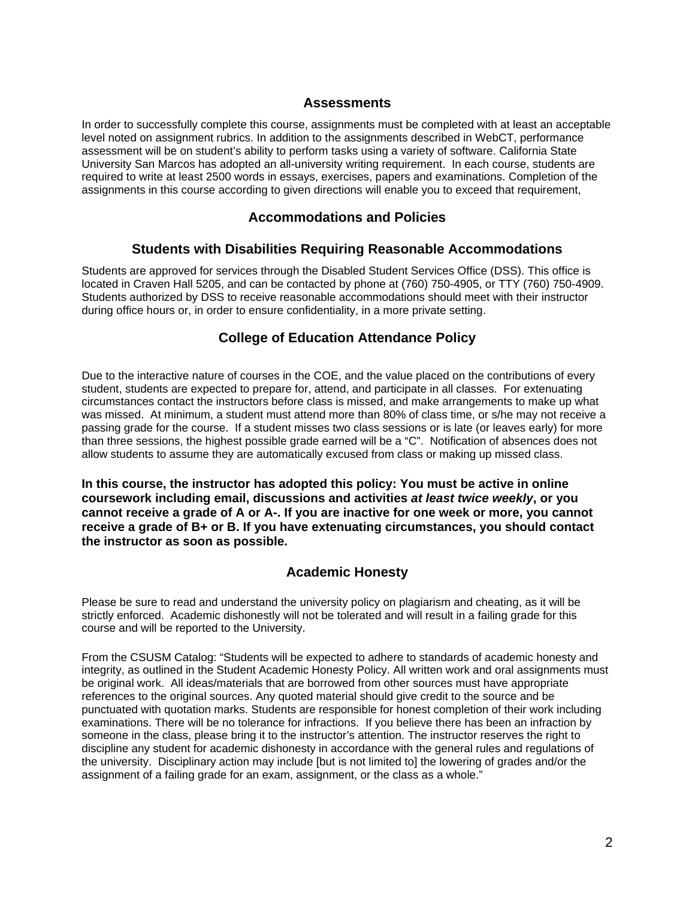### **Assessments**

In order to successfully complete this course, assignments must be completed with at least an acceptable level noted on assignment rubrics. In addition to the assignments described in WebCT, performance assessment will be on student's ability to perform tasks using a variety of software. California State University San Marcos has adopted an all-university writing requirement. In each course, students are required to write at least 2500 words in essays, exercises, papers and examinations. Completion of the assignments in this course according to given directions will enable you to exceed that requirement,

## **Accommodations and Policies**

### **Students with Disabilities Requiring Reasonable Accommodations**

Students are approved for services through the Disabled Student Services Office (DSS). This office is located in Craven Hall 5205, and can be contacted by phone at (760) 750-4905, or TTY (760) 750-4909. Students authorized by DSS to receive reasonable accommodations should meet with their instructor during office hours or, in order to ensure confidentiality, in a more private setting.

## **College of Education Attendance Policy**

Due to the interactive nature of courses in the COE, and the value placed on the contributions of every student, students are expected to prepare for, attend, and participate in all classes. For extenuating circumstances contact the instructors before class is missed, and make arrangements to make up what was missed. At minimum, a student must attend more than 80% of class time, or s/he may not receive a passing grade for the course. If a student misses two class sessions or is late (or leaves early) for more than three sessions, the highest possible grade earned will be a "C". Notification of absences does not allow students to assume they are automatically excused from class or making up missed class.

**In this course, the instructor has adopted this policy: You must be active in online coursework including email, discussions and activities** *at least twice weekly***, or you cannot receive a grade of A or A-. If you are inactive for one week or more, you cannot receive a grade of B+ or B. If you have extenuating circumstances, you should contact the instructor as soon as possible.** 

### **Academic Honesty**

Please be sure to read and understand the university policy on plagiarism and cheating, as it will be strictly enforced. Academic dishonestly will not be tolerated and will result in a failing grade for this course and will be reported to the University.

From the CSUSM Catalog: "Students will be expected to adhere to standards of academic honesty and integrity, as outlined in the Student Academic Honesty Policy. All written work and oral assignments must be original work. All ideas/materials that are borrowed from other sources must have appropriate references to the original sources. Any quoted material should give credit to the source and be punctuated with quotation marks. Students are responsible for honest completion of their work including examinations. There will be no tolerance for infractions. If you believe there has been an infraction by someone in the class, please bring it to the instructor's attention. The instructor reserves the right to discipline any student for academic dishonesty in accordance with the general rules and regulations of the university. Disciplinary action may include [but is not limited to] the lowering of grades and/or the assignment of a failing grade for an exam, assignment, or the class as a whole."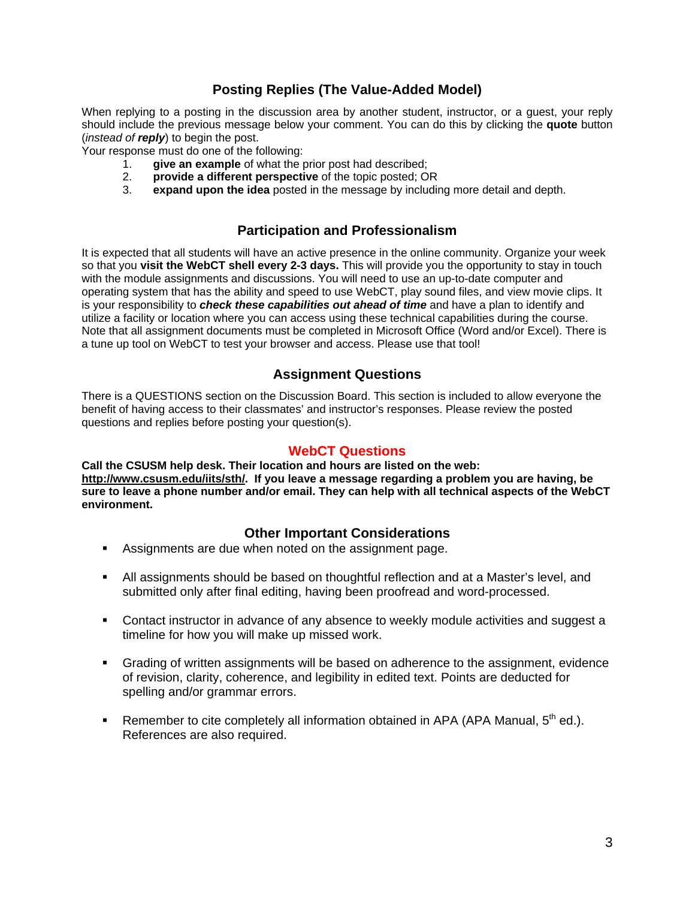# **Posting Replies (The Value-Added Model)**

When replying to a posting in the discussion area by another student, instructor, or a guest, your reply should include the previous message below your comment. You can do this by clicking the **quote** button (*instead of reply*) to begin the post.

Your response must do one of the following:

- 1. **give an example** of what the prior post had described;
- 2. **provide a different perspective** of the topic posted; OR
- 3. **expand upon the idea** posted in the message by including more detail and depth.

### **Participation and Professionalism**

It is expected that all students will have an active presence in the online community. Organize your week so that you **visit the WebCT shell every 2-3 days.** This will provide you the opportunity to stay in touch with the module assignments and discussions. You will need to use an up-to-date computer and operating system that has the ability and speed to use WebCT, play sound files, and view movie clips. It is your responsibility to *check these capabilities out ahead of time* and have a plan to identify and utilize a facility or location where you can access using these technical capabilities during the course. Note that all assignment documents must be completed in Microsoft Office (Word and/or Excel). There is a tune up tool on WebCT to test your browser and access. Please use that tool!

## **Assignment Questions**

There is a QUESTIONS section on the Discussion Board. This section is included to allow everyone the benefit of having access to their classmates' and instructor's responses. Please review the posted questions and replies before posting your question(s).

### **WebCT Questions**

**Call the CSUSM help desk. Their location and hours are listed on the web: http://www.csusm.edu/iits/sth/. If you leave a message regarding a problem you are having, be sure to leave a phone number and/or email. They can help with all technical aspects of the WebCT environment.** 

# **Other Important Considerations**

- Assignments are due when noted on the assignment page.
- All assignments should be based on thoughtful reflection and at a Master's level, and submitted only after final editing, having been proofread and word-processed.
- Contact instructor in advance of any absence to weekly module activities and suggest a timeline for how you will make up missed work.
- Grading of written assignments will be based on adherence to the assignment, evidence of revision, clarity, coherence, and legibility in edited text. Points are deducted for spelling and/or grammar errors.
- Remember to cite completely all information obtained in APA (APA Manual,  $5<sup>th</sup>$  ed.). References are also required.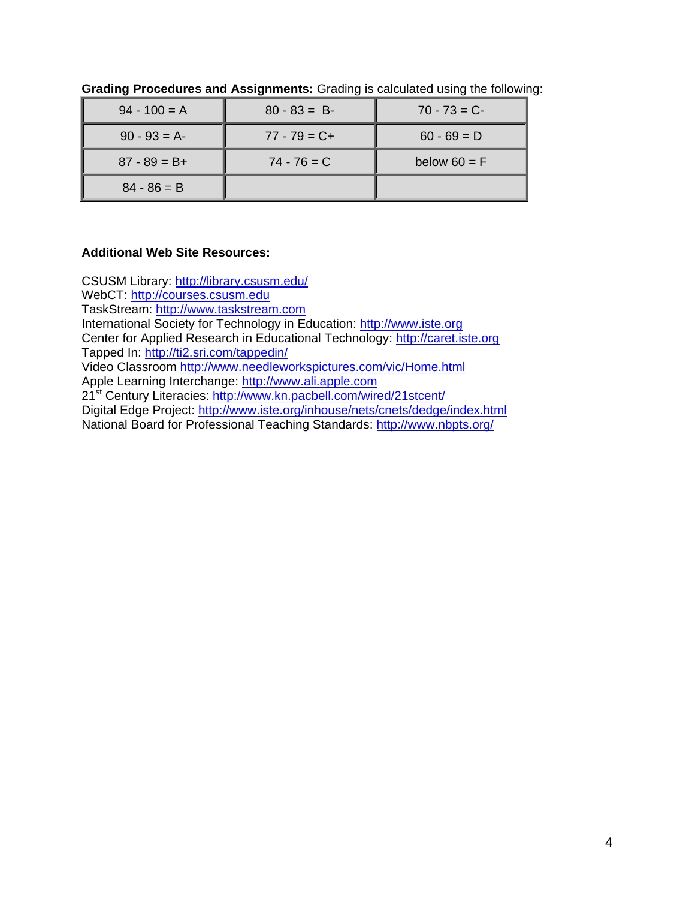| $94 - 100 = A$  | $80 - 83 = B$   | $70 - 73 = C$  |
|-----------------|-----------------|----------------|
| $90 - 93 = A$   | $77 - 79 = C +$ | $60 - 69 = D$  |
| $87 - 89 = B +$ | $74 - 76 = C$   | below $60 = F$ |
| $84 - 86 = B$   |                 |                |

**Grading Procedures and Assignments:** Grading is calculated using the following:

## **Additional Web Site Resources:**

CSUSM Library: http://library.csusm.edu/ WebCT: http://courses.csusm.edu TaskStream: http://www.taskstream.com International Society for Technology in Education: http://www.iste.org Center for Applied Research in Educational Technology: http://caret.iste.org Tapped In: http://ti2.sri.com/tappedin/ Video Classroom http://www.needleworkspictures.com/vic/Home.html Apple Learning Interchange: http://www.ali.apple.com 21st Century Literacies: http://www.kn.pacbell.com/wired/21stcent/ Digital Edge Project: http://www.iste.org/inhouse/nets/cnets/dedge/index.html National Board for Professional Teaching Standards: http://www.nbpts.org/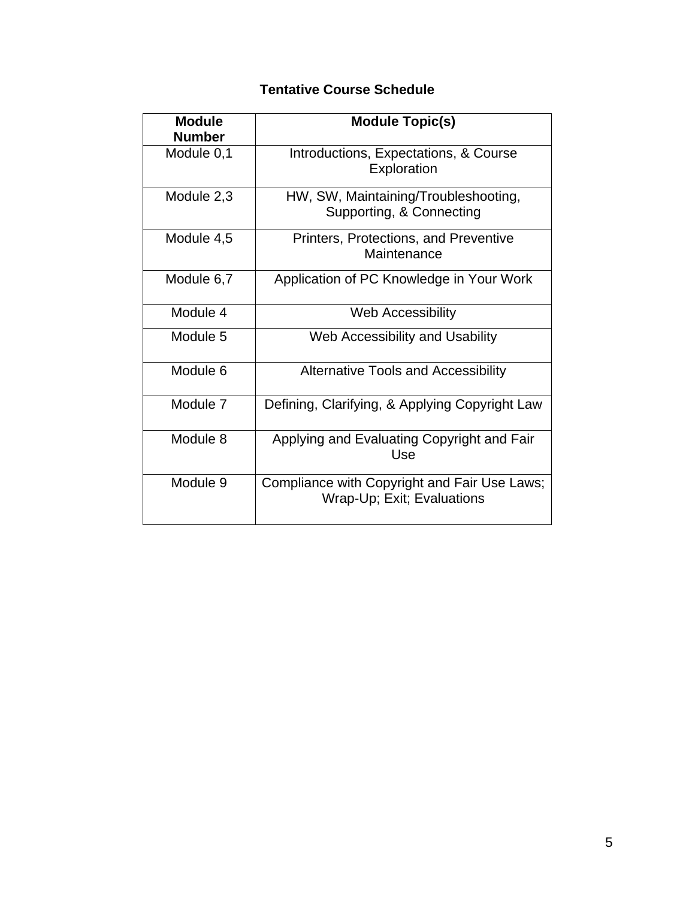# **Tentative Course Schedule**

| <b>Module</b><br><b>Number</b> | <b>Module Topic(s)</b>                                                     |
|--------------------------------|----------------------------------------------------------------------------|
| Module 0,1                     | Introductions, Expectations, & Course<br>Exploration                       |
| Module 2,3                     | HW, SW, Maintaining/Troubleshooting,<br>Supporting, & Connecting           |
| Module 4,5                     | Printers, Protections, and Preventive<br>Maintenance                       |
| Module 6,7                     | Application of PC Knowledge in Your Work                                   |
| Module 4                       | <b>Web Accessibility</b>                                                   |
| Module 5                       | Web Accessibility and Usability                                            |
| Module 6                       | <b>Alternative Tools and Accessibility</b>                                 |
| Module 7                       | Defining, Clarifying, & Applying Copyright Law                             |
| Module 8                       | Applying and Evaluating Copyright and Fair<br>Use                          |
| Module 9                       | Compliance with Copyright and Fair Use Laws;<br>Wrap-Up; Exit; Evaluations |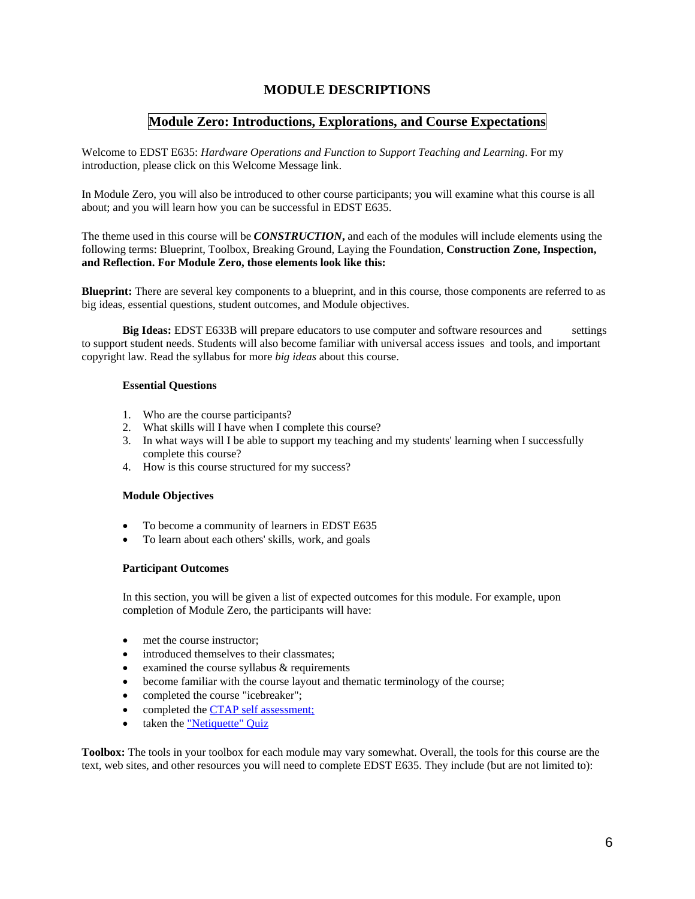### **MODULE DESCRIPTIONS**

### **Module Zero: Introductions, Explorations, and Course Expectations**

Welcome to EDST E635: *Hardware Operations and Function to Support Teaching and Learning*. For my introduction, please click on this Welcome Message link.

In Module Zero, you will also be introduced to other course participants; you will examine what this course is all about; and you will learn how you can be successful in EDST E635.

The theme used in this course will be *CONSTRUCTION***,** and each of the modules will include elements using the following terms: Blueprint, Toolbox, Breaking Ground, Laying the Foundation, **Construction Zone, Inspection, and Reflection. For Module Zero, those elements look like this:** 

**Blueprint:** There are several key components to a blueprint, and in this course, those components are referred to as big ideas, essential questions, student outcomes, and Module objectives.

**Big Ideas:** EDST E633B will prepare educators to use computer and software resources and settings to support student needs. Students will also become familiar with universal access issues and tools, and important copyright law. Read the syllabus for more *big ideas* about this course.

#### **Essential Questions**

- 1. Who are the course participants?
- 2. What skills will I have when I complete this course?
- 3. In what ways will I be able to support my teaching and my students' learning when I successfully complete this course?
- 4. How is this course structured for my success?

### **Module Objectives**

- To become a community of learners in EDST E635
- To learn about each others' skills, work, and goals

### **Participant Outcomes**

 In this section, you will be given a list of expected outcomes for this module. For example, upon completion of Module Zero, the participants will have:

- met the course instructor:
- introduced themselves to their classmates;
- examined the course syllabus  $&$  requirements
- become familiar with the course layout and thematic terminology of the course;
- completed the course "icebreaker";
- completed the CTAP self assessment;
- taken the "Netiquette" Quiz

**Toolbox:** The tools in your toolbox for each module may vary somewhat. Overall, the tools for this course are the text, web sites, and other resources you will need to complete EDST E635. They include (but are not limited to):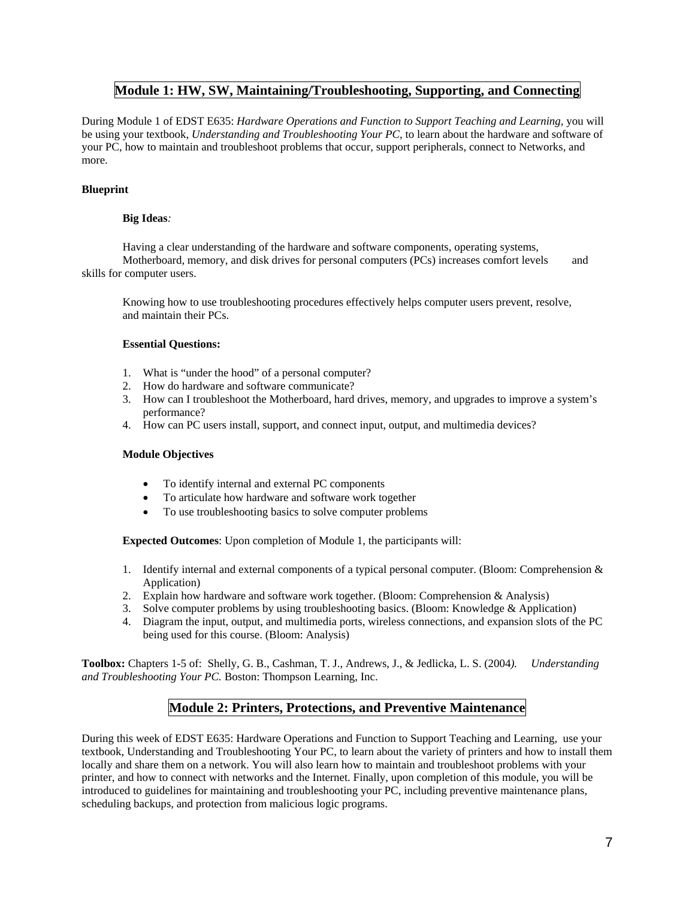### **Module 1: HW, SW, Maintaining/Troubleshooting, Supporting, and Connecting**

During Module 1 of EDST E635: *Hardware Operations and Function to Support Teaching and Learning,* you will be using your textbook, *Understanding and Troubleshooting Your PC,* to learn about the hardware and software of your PC, how to maintain and troubleshoot problems that occur, support peripherals, connect to Networks, and more.

### **Blueprint**

### **Big Ideas***:*

 Having a clear understanding of the hardware and software components, operating systems, Motherboard, memory, and disk drives for personal computers (PCs) increases comfort levels and skills for computer users.

 Knowing how to use troubleshooting procedures effectively helps computer users prevent, resolve, and maintain their PCs.

### **Essential Questions:**

- 1. What is "under the hood" of a personal computer?
- 2. How do hardware and software communicate?
- 3. How can I troubleshoot the Motherboard, hard drives, memory, and upgrades to improve a system's performance?
- 4. How can PC users install, support, and connect input, output, and multimedia devices?

### **Module Objectives**

- To identify internal and external PC components
- To articulate how hardware and software work together
- To use troubleshooting basics to solve computer problems

 **Expected Outcomes**: Upon completion of Module 1, the participants will:

- 1. Identify internal and external components of a typical personal computer. (Bloom: Comprehension & Application)
- 2. Explain how hardware and software work together. (Bloom: Comprehension & Analysis)
- 3. Solve computer problems by using troubleshooting basics. (Bloom: Knowledge & Application)
- 4. Diagram the input, output, and multimedia ports, wireless connections, and expansion slots of the PC being used for this course. (Bloom: Analysis)

**Toolbox:** Chapters 1-5 of: Shelly, G. B., Cashman, T. J., Andrews, J., & Jedlicka, L. S. (2004*). Understanding and Troubleshooting Your PC.* Boston: Thompson Learning, Inc.

# **Module 2: Printers, Protections, and Preventive Maintenance**

During this week of EDST E635: Hardware Operations and Function to Support Teaching and Learning, use your textbook, Understanding and Troubleshooting Your PC, to learn about the variety of printers and how to install them locally and share them on a network. You will also learn how to maintain and troubleshoot problems with your printer, and how to connect with networks and the Internet. Finally, upon completion of this module, you will be introduced to guidelines for maintaining and troubleshooting your PC, including preventive maintenance plans, scheduling backups, and protection from malicious logic programs.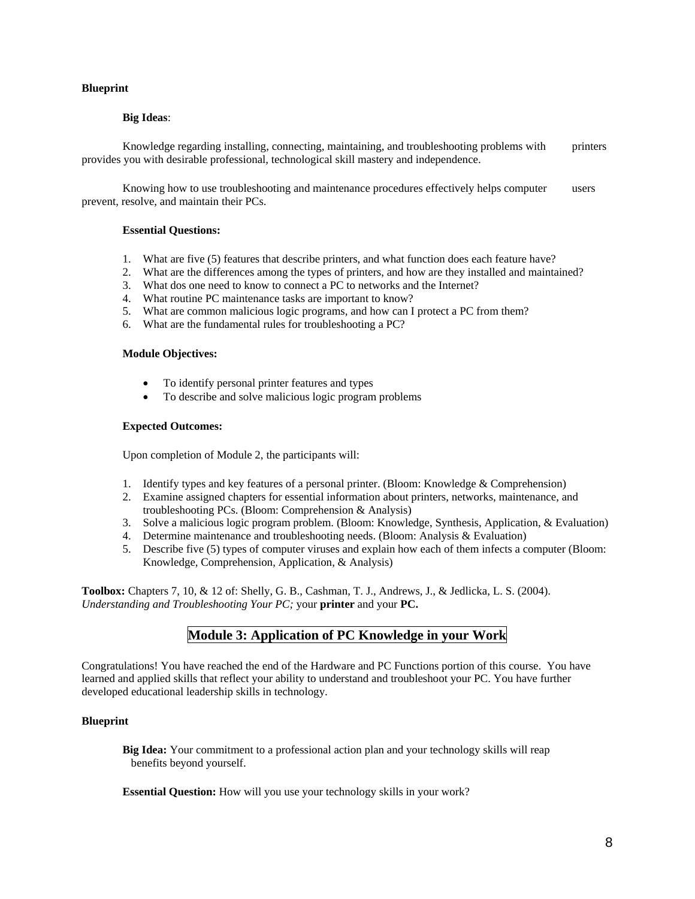### **Blueprint**

### **Big Ideas**:

 Knowledge regarding installing, connecting, maintaining, and troubleshooting problems with printers provides you with desirable professional, technological skill mastery and independence.

 Knowing how to use troubleshooting and maintenance procedures effectively helps computer users prevent, resolve, and maintain their PCs.

#### **Essential Questions:**

- 1. What are five (5) features that describe printers, and what function does each feature have?
- 2. What are the differences among the types of printers, and how are they installed and maintained?
- 3. What dos one need to know to connect a PC to networks and the Internet?
- 4. What routine PC maintenance tasks are important to know?
- 5. What are common malicious logic programs, and how can I protect a PC from them?
- 6. What are the fundamental rules for troubleshooting a PC?

#### **Module Objectives:**

- To identify personal printer features and types
- To describe and solve malicious logic program problems

#### **Expected Outcomes:**

Upon completion of Module 2, the participants will:

- 1. Identify types and key features of a personal printer. (Bloom: Knowledge & Comprehension)
- 2. Examine assigned chapters for essential information about printers, networks, maintenance, and troubleshooting PCs. (Bloom: Comprehension & Analysis)
- 3. Solve a malicious logic program problem. (Bloom: Knowledge, Synthesis, Application, & Evaluation)
- 4. Determine maintenance and troubleshooting needs. (Bloom: Analysis & Evaluation)
- 5. Describe five (5) types of computer viruses and explain how each of them infects a computer (Bloom: Knowledge, Comprehension, Application, & Analysis)

**Toolbox:** Chapters 7, 10, & 12 of: Shelly, G. B., Cashman, T. J., Andrews, J., & Jedlicka, L. S. (2004). *Understanding and Troubleshooting Your PC;* your **printer** and your **PC.**

### **Module 3: Application of PC Knowledge in your Work**

Congratulations! You have reached the end of the Hardware and PC Functions portion of this course. You have learned and applied skills that reflect your ability to understand and troubleshoot your PC. You have further developed educational leadership skills in technology.

#### **Blueprint**

 **Big Idea:** Your commitment to a professional action plan and your technology skills will reap benefits beyond yourself.

**Essential Question:** How will you use your technology skills in your work?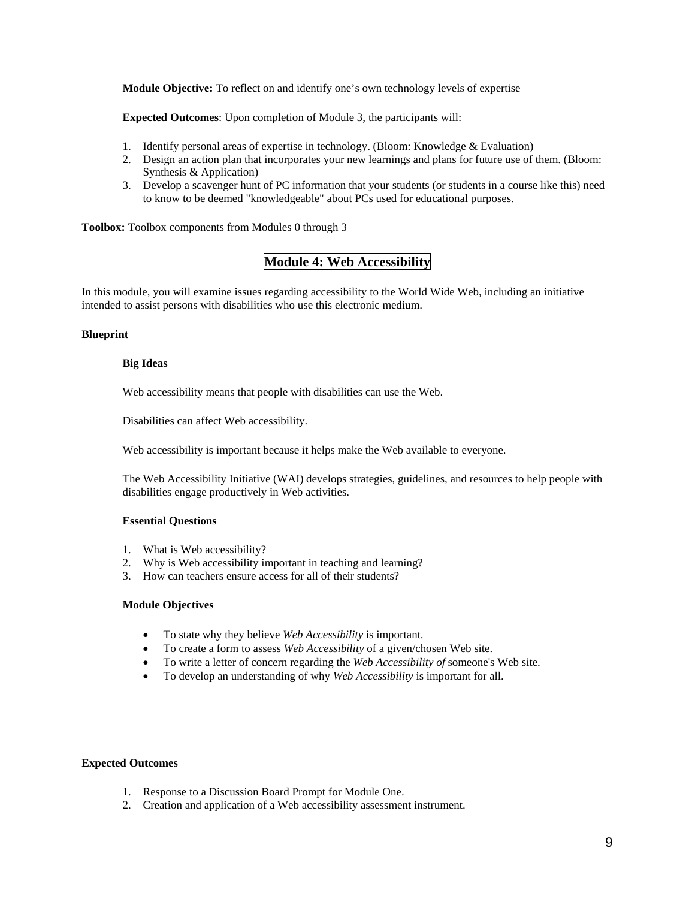**Module Objective:** To reflect on and identify one's own technology levels of expertise

 **Expected Outcomes**: Upon completion of Module 3, the participants will:

- 1. Identify personal areas of expertise in technology. (Bloom: Knowledge & Evaluation)
- 2. Design an action plan that incorporates your new learnings and plans for future use of them. (Bloom: Synthesis & Application)
- 3. Develop a scavenger hunt of PC information that your students (or students in a course like this) need to know to be deemed "knowledgeable" about PCs used for educational purposes.

**Toolbox:** Toolbox components from Modules 0 through 3

# **Module 4: Web Accessibility**

In this module, you will examine issues regarding accessibility to the World Wide Web, including an initiative intended to assist persons with disabilities who use this electronic medium.

### **Blueprint**

### **Big Ideas**

Web accessibility means that people with disabilities can use the Web.

Disabilities can affect Web accessibility.

Web accessibility is important because it helps make the Web available to everyone.

The Web Accessibility Initiative (WAI) develops strategies, guidelines, and resources to help people with disabilities engage productively in Web activities.

#### **Essential Questions**

- 1. What is Web accessibility?
- 2. Why is Web accessibility important in teaching and learning?
- 3. How can teachers ensure access for all of their students?

### **Module Objectives**

- To state why they believe *Web Accessibility* is important.
- To create a form to assess *Web Accessibility* of a given/chosen Web site.
- To write a letter of concern regarding the *Web Accessibility of* someone's Web site.
- To develop an understanding of why *Web Accessibility* is important for all.

#### **Expected Outcomes**

- 1. Response to a Discussion Board Prompt for Module One.
- 2. Creation and application of a Web accessibility assessment instrument.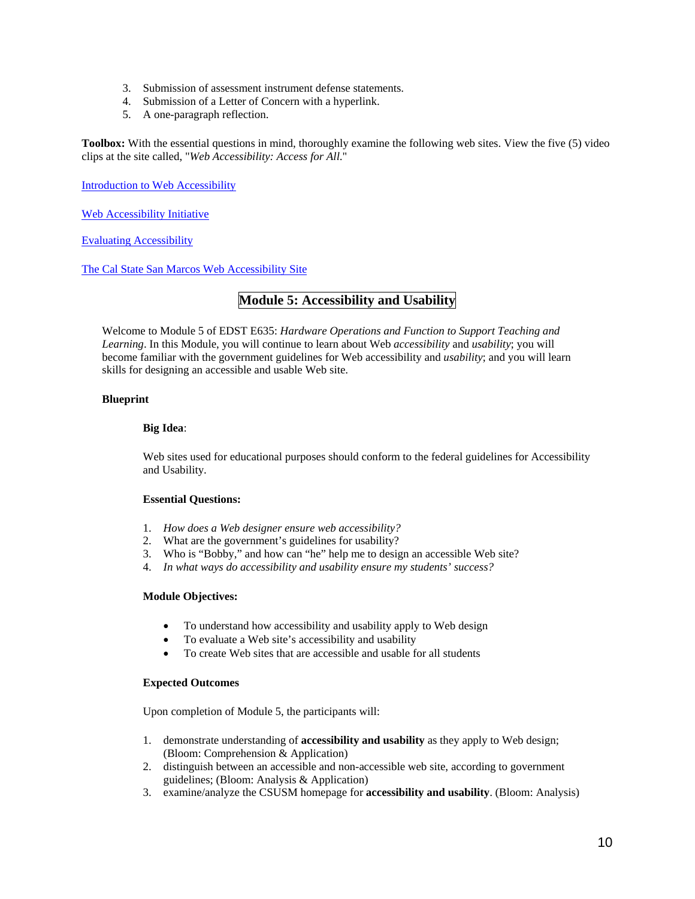- 3. Submission of assessment instrument defense statements.
- 4. Submission of a Letter of Concern with a hyperlink.
- 5. A one-paragraph reflection.

**Toolbox:** With the essential questions in mind, thoroughly examine the following web sites. View the five (5) video clips at the site called, "*Web Accessibility: Access for All*."

Introduction to Web Accessibility

Web Accessibility Initiative

Evaluating Accessibility

The Cal State San Marcos Web Accessibility Site

# **Module 5: Accessibility and Usability**

Welcome to Module 5 of EDST E635: *Hardware Operations and Function to Support Teaching and Learning*. In this Module, you will continue to learn about Web *accessibility* and *usability*; you will become familiar with the government guidelines for Web accessibility and *usability*; and you will learn skills for designing an accessible and usable Web site.

### **Blueprint**

### **Big Idea**:

Web sites used for educational purposes should conform to the federal guidelines for Accessibility and Usability.

### **Essential Questions:**

- 1. *How does a Web designer ensure web accessibility?*
- 2. What are the government's guidelines for usability?
- 3. Who is "Bobby," and how can "he" help me to design an accessible Web site?
- 4. *In what ways do accessibility and usability ensure my students' success?*

### **Module Objectives:**

- To understand how accessibility and usability apply to Web design
- To evaluate a Web site's accessibility and usability
- To create Web sites that are accessible and usable for all students

#### **Expected Outcomes**

Upon completion of Module 5, the participants will:

- 1. demonstrate understanding of **accessibility and usability** as they apply to Web design; (Bloom: Comprehension & Application)
- 2. distinguish between an accessible and non-accessible web site, according to government guidelines; (Bloom: Analysis & Application)
- 3. examine/analyze the CSUSM homepage for **accessibility and usability**. (Bloom: Analysis)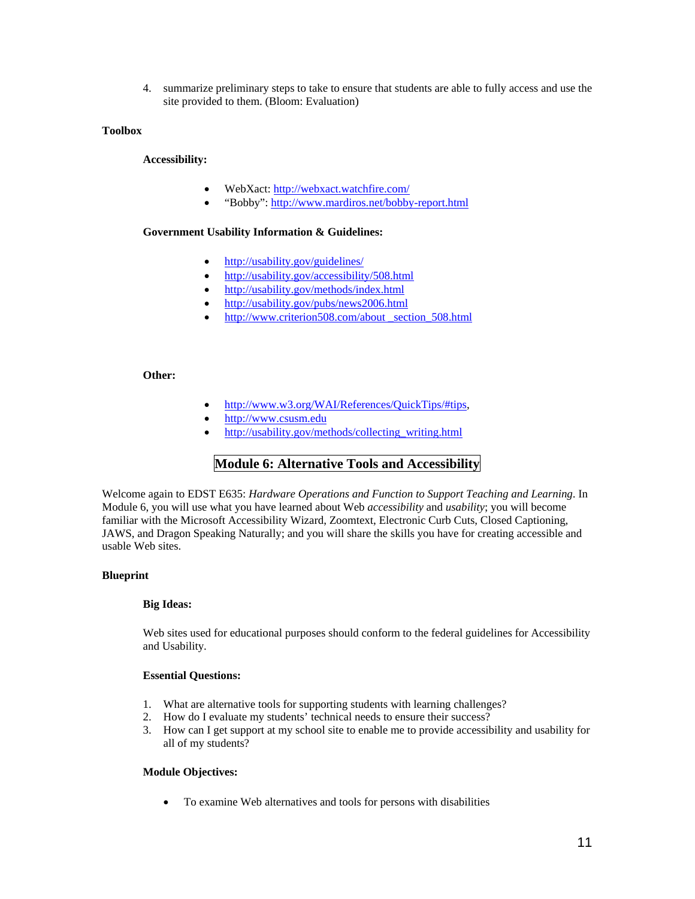4. summarize preliminary steps to take to ensure that students are able to fully access and use the site provided to them. (Bloom: Evaluation)

### **Toolbox**

**Accessibility:**

- WebXact: http://webxact.watchfire.com/
- "Bobby": http://www.mardiros.net/bobby-report.html

### **Government Usability Information & Guidelines:**

- http://usability.gov/guidelines/
- http://usability.gov/accessibility/508.html
- http://usability.gov/methods/index.html
- http://usability.gov/pubs/news2006.html
- http://www.criterion508.com/about \_section\_508.html

### **Other:**

- http://www.w3.org/WAI/References/QuickTips/#tips,
- http://www.csusm.edu
- http://usability.gov/methods/collecting\_writing.html

### **Module 6: Alternative Tools and Accessibility**

Welcome again to EDST E635: *Hardware Operations and Function to Support Teaching and Learning*. In Module 6, you will use what you have learned about Web *accessibility* and *usability*; you will become familiar with the Microsoft Accessibility Wizard, Zoomtext, Electronic Curb Cuts, Closed Captioning, JAWS, and Dragon Speaking Naturally; and you will share the skills you have for creating accessible and usable Web sites.

### **Blueprint**

#### **Big Ideas:**

Web sites used for educational purposes should conform to the federal guidelines for Accessibility and Usability.

### **Essential Questions:**

- 1. What are alternative tools for supporting students with learning challenges?
- 2. How do I evaluate my students' technical needs to ensure their success?
- 3. How can I get support at my school site to enable me to provide accessibility and usability for all of my students?

#### **Module Objectives:**

• To examine Web alternatives and tools for persons with disabilities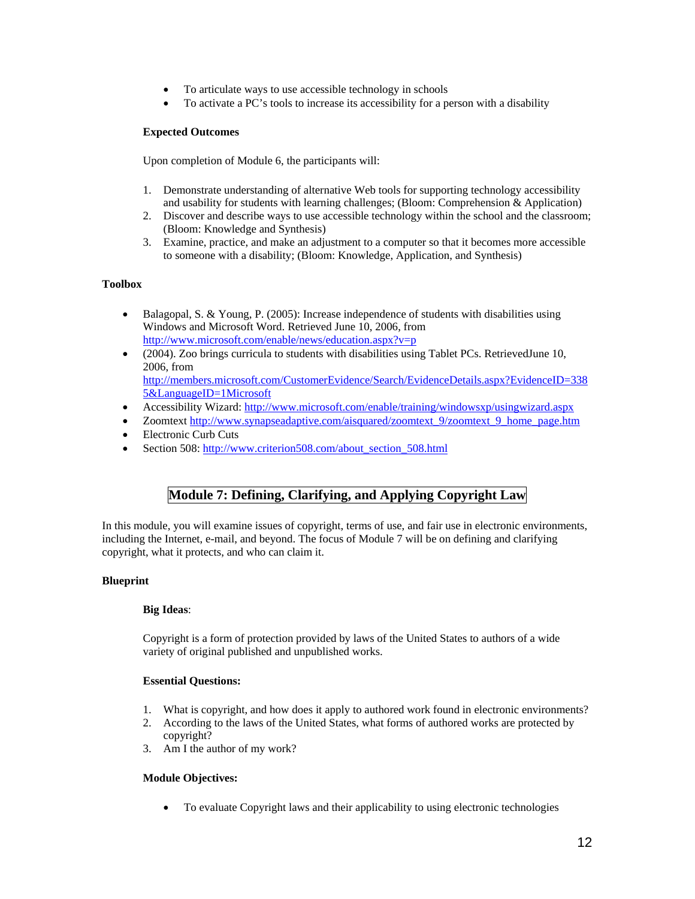- To articulate ways to use accessible technology in schools
- To activate a PC's tools to increase its accessibility for a person with a disability

### **Expected Outcomes**

Upon completion of Module 6, the participants will:

- 1. Demonstrate understanding of alternative Web tools for supporting technology accessibility and usability for students with learning challenges; (Bloom: Comprehension  $\&$  Application)
- 2. Discover and describe ways to use accessible technology within the school and the classroom; (Bloom: Knowledge and Synthesis)
- 3. Examine, practice, and make an adjustment to a computer so that it becomes more accessible to someone with a disability; (Bloom: Knowledge, Application, and Synthesis)

### **Toolbox**

- Balagopal, S. & Young, P. (2005): Increase independence of students with disabilities using Windows and Microsoft Word. Retrieved June 10, 2006, from http://www.microsoft.com/enable/news/education.aspx?v=p
- (2004). Zoo brings curricula to students with disabilities using Tablet PCs. RetrievedJune 10, 2006, from http://members.microsoft.com/CustomerEvidence/Search/EvidenceDetails.aspx?EvidenceID=338 5&LanguageID=1Microsoft
- Accessibility Wizard: http://www.microsoft.com/enable/training/windowsxp/usingwizard.aspx
- Zoomtext http://www.synapseadaptive.com/aisquared/zoomtext\_9/zoomtext\_9\_home\_page.htm
- Electronic Curb Cuts
- Section 508: http://www.criterion508.com/about\_section\_508.html

# **Module 7: Defining, Clarifying, and Applying Copyright Law**

In this module, you will examine issues of copyright, terms of use, and fair use in electronic environments, including the Internet, e-mail, and beyond. The focus of Module 7 will be on defining and clarifying copyright, what it protects, and who can claim it.

### **Blueprint**

### **Big Ideas**:

Copyright is a form of protection provided by laws of the United States to authors of a wide variety of original published and unpublished works.

### **Essential Questions:**

- 1. What is copyright, and how does it apply to authored work found in electronic environments?
- 2. According to the laws of the United States, what forms of authored works are protected by copyright?
- 3. Am I the author of my work?

### **Module Objectives:**

• To evaluate Copyright laws and their applicability to using electronic technologies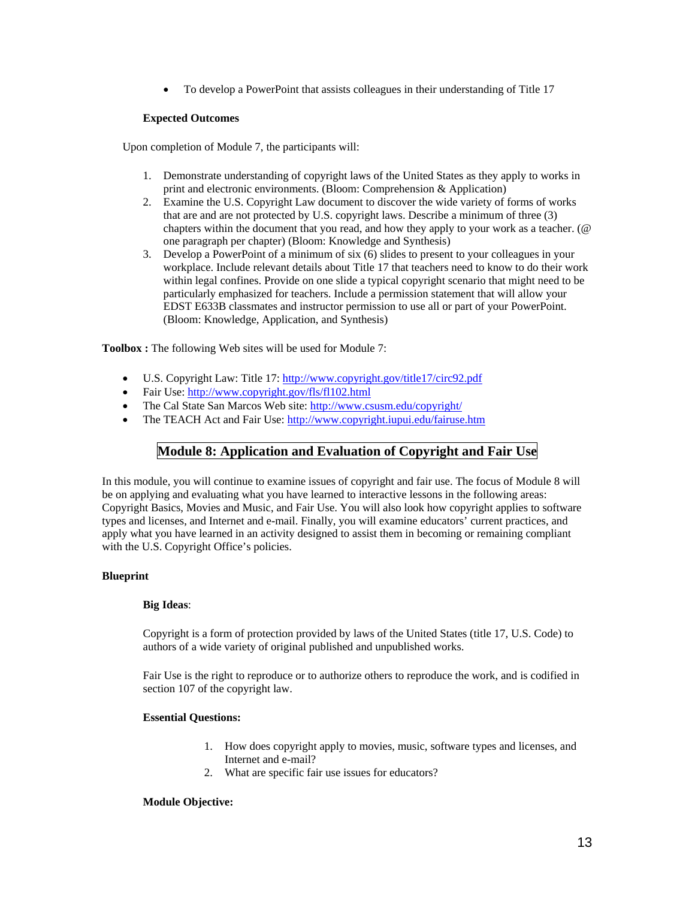• To develop a PowerPoint that assists colleagues in their understanding of Title 17

### **Expected Outcomes**

Upon completion of Module 7, the participants will:

- 1. Demonstrate understanding of copyright laws of the United States as they apply to works in print and electronic environments. (Bloom: Comprehension & Application)
- 2. Examine the U.S. Copyright Law document to discover the wide variety of forms of works that are and are not protected by U.S. copyright laws. Describe a minimum of three (3) chapters within the document that you read, and how they apply to your work as a teacher. (@ one paragraph per chapter) (Bloom: Knowledge and Synthesis)
- 3. Develop a PowerPoint of a minimum of six (6) slides to present to your colleagues in your workplace. Include relevant details about Title 17 that teachers need to know to do their work within legal confines. Provide on one slide a typical copyright scenario that might need to be particularly emphasized for teachers. Include a permission statement that will allow your EDST E633B classmates and instructor permission to use all or part of your PowerPoint. (Bloom: Knowledge, Application, and Synthesis)

**Toolbox :** The following Web sites will be used for Module 7:

- U.S. Copyright Law: Title 17: http://www.copyright.gov/title17/circ92.pdf
- Fair Use: http://www.copyright.gov/fls/fl102.html
- The Cal State San Marcos Web site: http://www.csusm.edu/copyright/
- The TEACH Act and Fair Use: http://www.copyright.iupui.edu/fairuse.htm

### **Module 8: Application and Evaluation of Copyright and Fair Use**

In this module, you will continue to examine issues of copyright and fair use. The focus of Module 8 will be on applying and evaluating what you have learned to interactive lessons in the following areas: Copyright Basics, Movies and Music, and Fair Use. You will also look how copyright applies to software types and licenses, and Internet and e-mail. Finally, you will examine educators' current practices, and apply what you have learned in an activity designed to assist them in becoming or remaining compliant with the U.S. Copyright Office's policies.

### **Blueprint**

#### **Big Ideas**:

Copyright is a form of protection provided by laws of the United States (title 17, U.S. Code) to authors of a wide variety of original published and unpublished works.

Fair Use is the right to reproduce or to authorize others to reproduce the work, and is codified in section 107 of the copyright law.

### **Essential Questions:**

- 1. How does copyright apply to movies, music, software types and licenses, and Internet and e-mail?
- 2. What are specific fair use issues for educators?

#### **Module Objective:**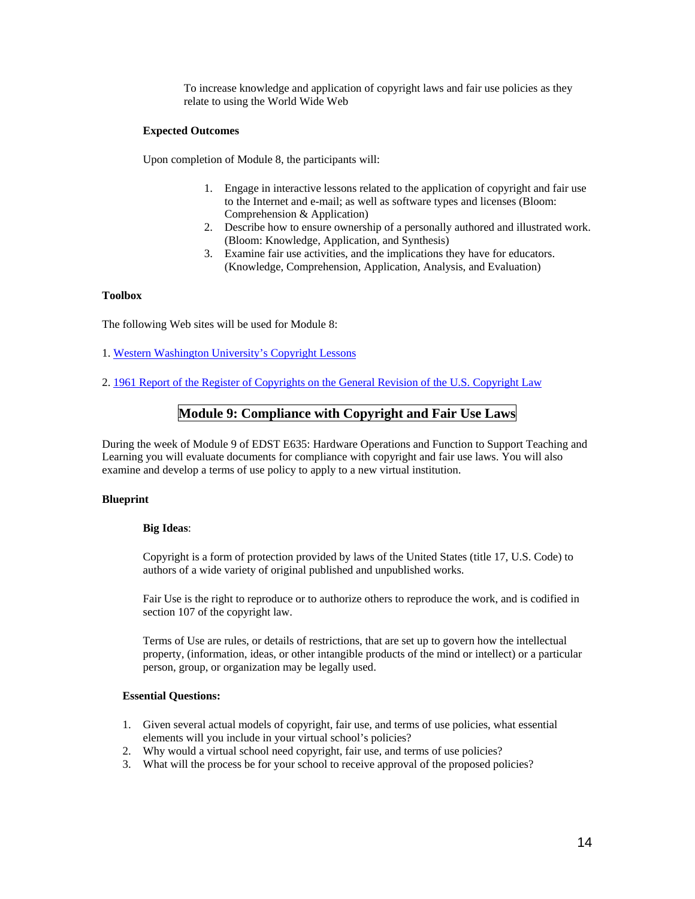To increase knowledge and application of copyright laws and fair use policies as they relate to using the World Wide Web

### **Expected Outcomes**

Upon completion of Module 8, the participants will:

- 1. Engage in interactive lessons related to the application of copyright and fair use to the Internet and e-mail; as well as software types and licenses (Bloom: Comprehension & Application)
- 2. Describe how to ensure ownership of a personally authored and illustrated work. (Bloom: Knowledge, Application, and Synthesis)
- 3. Examine fair use activities, and the implications they have for educators. (Knowledge, Comprehension, Application, Analysis, and Evaluation)

### **Toolbox**

The following Web sites will be used for Module 8:

- 1. Western Washington University's Copyright Lessons
- 2. 1961 Report of the Register of Copyrights on the General Revision of the U.S. Copyright Law

### **Module 9: Compliance with Copyright and Fair Use Laws**

During the week of Module 9 of EDST E635: Hardware Operations and Function to Support Teaching and Learning you will evaluate documents for compliance with copyright and fair use laws. You will also examine and develop a terms of use policy to apply to a new virtual institution.

#### **Blueprint**

### **Big Ideas**:

Copyright is a form of protection provided by laws of the United States (title 17, U.S. Code) to authors of a wide variety of original published and unpublished works.

Fair Use is the right to reproduce or to authorize others to reproduce the work, and is codified in section 107 of the copyright law.

Terms of Use are rules, or details of restrictions, that are set up to govern how the intellectual property, (information, ideas, or other intangible products of the mind or intellect) or a particular person, group, or organization may be legally used.

#### **Essential Questions:**

- 1. Given several actual models of copyright, fair use, and terms of use policies, what essential elements will you include in your virtual school's policies?
- 2. Why would a virtual school need copyright, fair use, and terms of use policies?
- 3. What will the process be for your school to receive approval of the proposed policies?